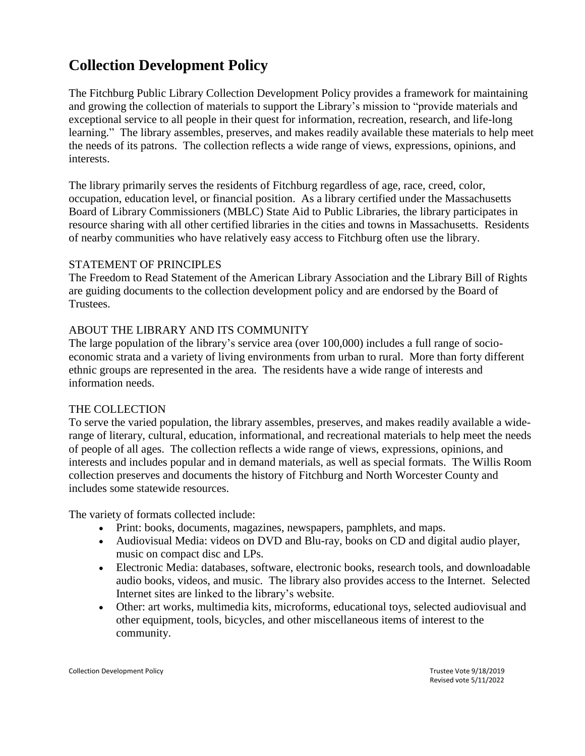# **Collection Development Policy**

The Fitchburg Public Library Collection Development Policy provides a framework for maintaining and growing the collection of materials to support the Library's mission to "provide materials and exceptional service to all people in their quest for information, recreation, research, and life-long learning." The library assembles, preserves, and makes readily available these materials to help meet the needs of its patrons. The collection reflects a wide range of views, expressions, opinions, and interests.

The library primarily serves the residents of Fitchburg regardless of age, race, creed, color, occupation, education level, or financial position. As a library certified under the Massachusetts Board of Library Commissioners (MBLC) State Aid to Public Libraries, the library participates in resource sharing with all other certified libraries in the cities and towns in Massachusetts. Residents of nearby communities who have relatively easy access to Fitchburg often use the library.

#### STATEMENT OF PRINCIPLES

The Freedom to Read Statement of the American Library Association and the Library Bill of Rights are guiding documents to the collection development policy and are endorsed by the Board of Trustees.

# ABOUT THE LIBRARY AND ITS COMMUNITY

The large population of the library's service area (over 100,000) includes a full range of socioeconomic strata and a variety of living environments from urban to rural. More than forty different ethnic groups are represented in the area. The residents have a wide range of interests and information needs.

#### THE COLLECTION

To serve the varied population, the library assembles, preserves, and makes readily available a widerange of literary, cultural, education, informational, and recreational materials to help meet the needs of people of all ages. The collection reflects a wide range of views, expressions, opinions, and interests and includes popular and in demand materials, as well as special formats. The Willis Room collection preserves and documents the history of Fitchburg and North Worcester County and includes some statewide resources.

The variety of formats collected include:

- Print: books, documents, magazines, newspapers, pamphlets, and maps.
- Audiovisual Media: videos on DVD and Blu-ray, books on CD and digital audio player, music on compact disc and LPs.
- Electronic Media: databases, software, electronic books, research tools, and downloadable audio books, videos, and music. The library also provides access to the Internet. Selected Internet sites are linked to the library's website.
- Other: art works, multimedia kits, microforms, educational toys, selected audiovisual and other equipment, tools, bicycles, and other miscellaneous items of interest to the community.

Collection Development Policy Trustee Vote 9/18/2019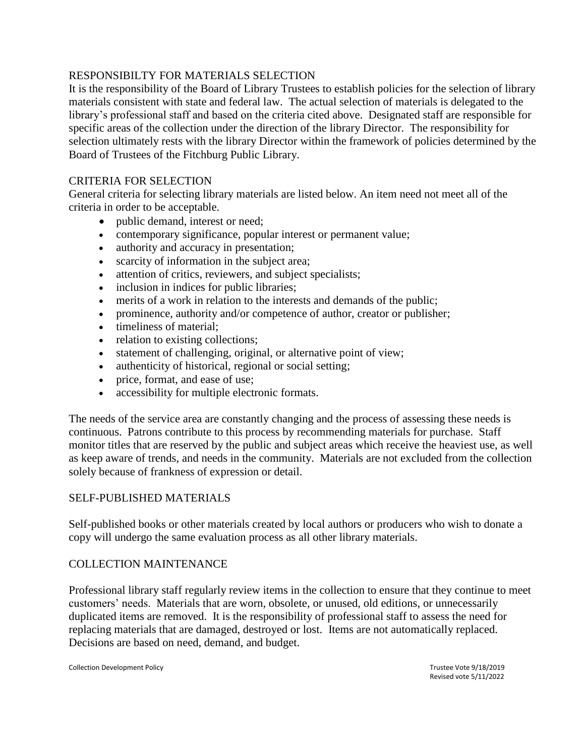# RESPONSIBILTY FOR MATERIALS SELECTION

It is the responsibility of the Board of Library Trustees to establish policies for the selection of library materials consistent with state and federal law. The actual selection of materials is delegated to the library's professional staff and based on the criteria cited above. Designated staff are responsible for specific areas of the collection under the direction of the library Director. The responsibility for selection ultimately rests with the library Director within the framework of policies determined by the Board of Trustees of the Fitchburg Public Library.

# CRITERIA FOR SELECTION

General criteria for selecting library materials are listed below. An item need not meet all of the criteria in order to be acceptable.

- public demand, interest or need;
- contemporary significance, popular interest or permanent value;
- authority and accuracy in presentation;
- scarcity of information in the subject area;
- attention of critics, reviewers, and subject specialists;
- inclusion in indices for public libraries;
- merits of a work in relation to the interests and demands of the public;
- prominence, authority and/or competence of author, creator or publisher;
- timeliness of material;
- relation to existing collections;
- statement of challenging, original, or alternative point of view;
- authenticity of historical, regional or social setting;
- price, format, and ease of use;
- accessibility for multiple electronic formats.

The needs of the service area are constantly changing and the process of assessing these needs is continuous. Patrons contribute to this process by recommending materials for purchase. Staff monitor titles that are reserved by the public and subject areas which receive the heaviest use, as well as keep aware of trends, and needs in the community. Materials are not excluded from the collection solely because of frankness of expression or detail.

# SELF-PUBLISHED MATERIALS

Self-published books or other materials created by local authors or producers who wish to donate a copy will undergo the same evaluation process as all other library materials.

# COLLECTION MAINTENANCE

Professional library staff regularly review items in the collection to ensure that they continue to meet customers' needs. Materials that are worn, obsolete, or unused, old editions, or unnecessarily duplicated items are removed. It is the responsibility of professional staff to assess the need for replacing materials that are damaged, destroyed or lost. Items are not automatically replaced. Decisions are based on need, demand, and budget.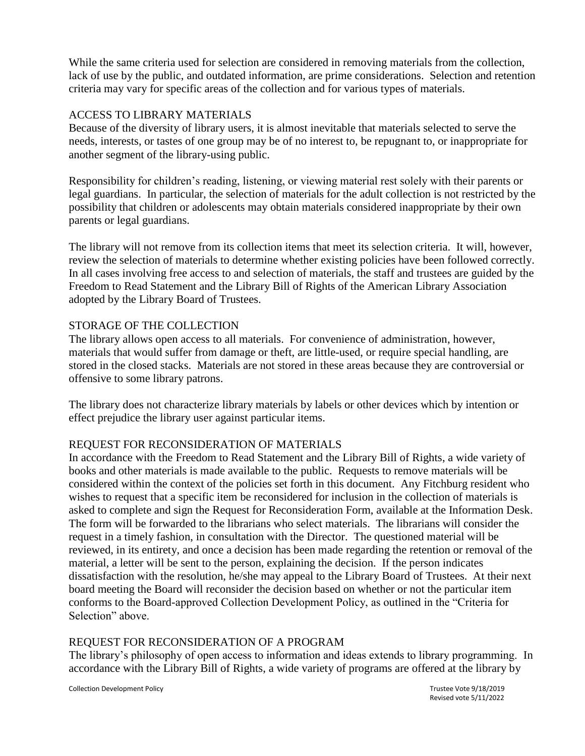While the same criteria used for selection are considered in removing materials from the collection, lack of use by the public, and outdated information, are prime considerations. Selection and retention criteria may vary for specific areas of the collection and for various types of materials.

#### ACCESS TO LIBRARY MATERIALS

Because of the diversity of library users, it is almost inevitable that materials selected to serve the needs, interests, or tastes of one group may be of no interest to, be repugnant to, or inappropriate for another segment of the library-using public.

Responsibility for children's reading, listening, or viewing material rest solely with their parents or legal guardians. In particular, the selection of materials for the adult collection is not restricted by the possibility that children or adolescents may obtain materials considered inappropriate by their own parents or legal guardians.

The library will not remove from its collection items that meet its selection criteria. It will, however, review the selection of materials to determine whether existing policies have been followed correctly. In all cases involving free access to and selection of materials, the staff and trustees are guided by the Freedom to Read Statement and the Library Bill of Rights of the American Library Association adopted by the Library Board of Trustees.

# STORAGE OF THE COLLECTION

The library allows open access to all materials. For convenience of administration, however, materials that would suffer from damage or theft, are little-used, or require special handling, are stored in the closed stacks. Materials are not stored in these areas because they are controversial or offensive to some library patrons.

The library does not characterize library materials by labels or other devices which by intention or effect prejudice the library user against particular items.

#### REQUEST FOR RECONSIDERATION OF MATERIALS

In accordance with the Freedom to Read Statement and the Library Bill of Rights, a wide variety of books and other materials is made available to the public. Requests to remove materials will be considered within the context of the policies set forth in this document. Any Fitchburg resident who wishes to request that a specific item be reconsidered for inclusion in the collection of materials is asked to complete and sign the Request for Reconsideration Form, available at the Information Desk. The form will be forwarded to the librarians who select materials. The librarians will consider the request in a timely fashion, in consultation with the Director. The questioned material will be reviewed, in its entirety, and once a decision has been made regarding the retention or removal of the material, a letter will be sent to the person, explaining the decision. If the person indicates dissatisfaction with the resolution, he/she may appeal to the Library Board of Trustees. At their next board meeting the Board will reconsider the decision based on whether or not the particular item conforms to the Board-approved Collection Development Policy, as outlined in the "Criteria for Selection" above.

#### REQUEST FOR RECONSIDERATION OF A PROGRAM

The library's philosophy of open access to information and ideas extends to library programming. In accordance with the Library Bill of Rights, a wide variety of programs are offered at the library by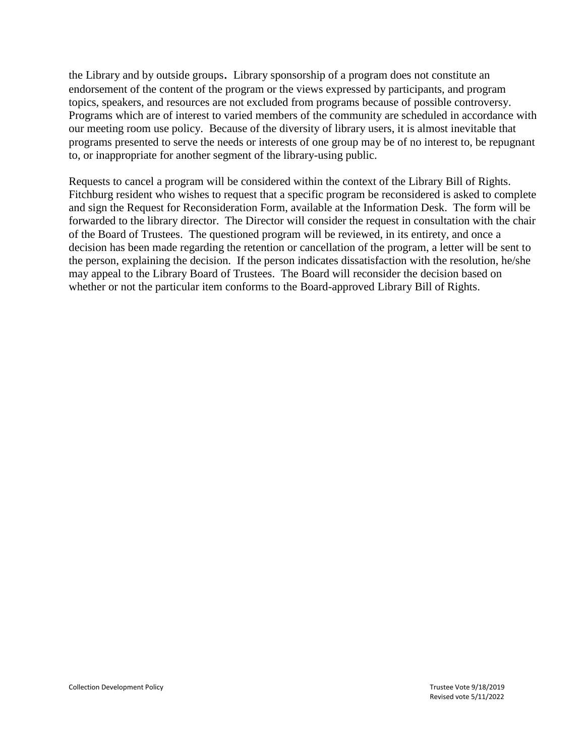the Library and by outside groups. Library sponsorship of a program does not constitute an endorsement of the content of the program or the views expressed by participants, and program topics, speakers, and resources are not excluded from programs because of possible controversy. Programs which are of interest to varied members of the community are scheduled in accordance with our meeting room use policy. Because of the diversity of library users, it is almost inevitable that programs presented to serve the needs or interests of one group may be of no interest to, be repugnant to, or inappropriate for another segment of the library-using public.

Requests to cancel a program will be considered within the context of the Library Bill of Rights. Fitchburg resident who wishes to request that a specific program be reconsidered is asked to complete and sign the Request for Reconsideration Form, available at the Information Desk. The form will be forwarded to the library director. The Director will consider the request in consultation with the chair of the Board of Trustees. The questioned program will be reviewed, in its entirety, and once a decision has been made regarding the retention or cancellation of the program, a letter will be sent to the person, explaining the decision. If the person indicates dissatisfaction with the resolution, he/she may appeal to the Library Board of Trustees. The Board will reconsider the decision based on whether or not the particular item conforms to the Board-approved Library Bill of Rights.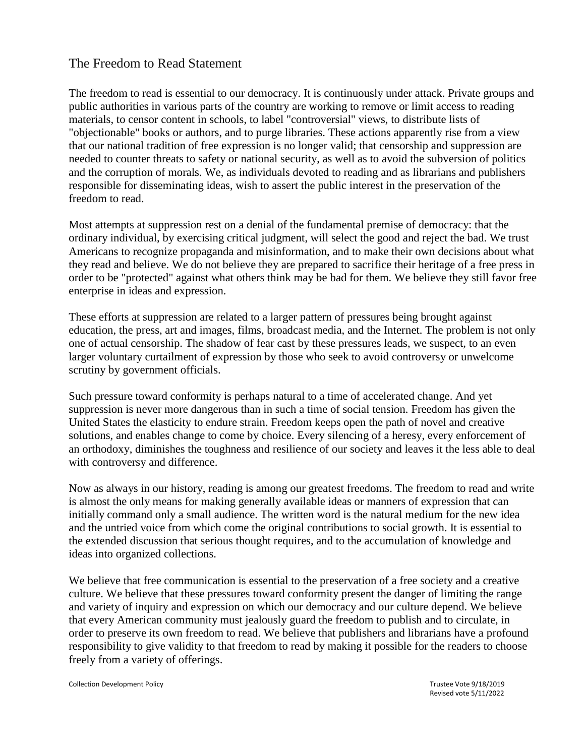# The Freedom to Read Statement

The freedom to read is essential to our democracy. It is continuously under attack. Private groups and public authorities in various parts of the country are working to remove or limit access to reading materials, to censor content in schools, to label "controversial" views, to distribute lists of "objectionable" books or authors, and to purge libraries. These actions apparently rise from a view that our national tradition of free expression is no longer valid; that censorship and suppression are needed to counter threats to safety or national security, as well as to avoid the subversion of politics and the corruption of morals. We, as individuals devoted to reading and as librarians and publishers responsible for disseminating ideas, wish to assert the public interest in the preservation of the freedom to read.

Most attempts at suppression rest on a denial of the fundamental premise of democracy: that the ordinary individual, by exercising critical judgment, will select the good and reject the bad. We trust Americans to recognize propaganda and misinformation, and to make their own decisions about what they read and believe. We do not believe they are prepared to sacrifice their heritage of a free press in order to be "protected" against what others think may be bad for them. We believe they still favor free enterprise in ideas and expression.

These efforts at suppression are related to a larger pattern of pressures being brought against education, the press, art and images, films, broadcast media, and the Internet. The problem is not only one of actual censorship. The shadow of fear cast by these pressures leads, we suspect, to an even larger voluntary curtailment of expression by those who seek to avoid controversy or unwelcome scrutiny by government officials.

Such pressure toward conformity is perhaps natural to a time of accelerated change. And yet suppression is never more dangerous than in such a time of social tension. Freedom has given the United States the elasticity to endure strain. Freedom keeps open the path of novel and creative solutions, and enables change to come by choice. Every silencing of a heresy, every enforcement of an orthodoxy, diminishes the toughness and resilience of our society and leaves it the less able to deal with controversy and difference.

Now as always in our history, reading is among our greatest freedoms. The freedom to read and write is almost the only means for making generally available ideas or manners of expression that can initially command only a small audience. The written word is the natural medium for the new idea and the untried voice from which come the original contributions to social growth. It is essential to the extended discussion that serious thought requires, and to the accumulation of knowledge and ideas into organized collections.

We believe that free communication is essential to the preservation of a free society and a creative culture. We believe that these pressures toward conformity present the danger of limiting the range and variety of inquiry and expression on which our democracy and our culture depend. We believe that every American community must jealously guard the freedom to publish and to circulate, in order to preserve its own freedom to read. We believe that publishers and librarians have a profound responsibility to give validity to that freedom to read by making it possible for the readers to choose freely from a variety of offerings.

Collection Development Policy Trustee Vote 9/18/2019

Revised vote 5/11/2022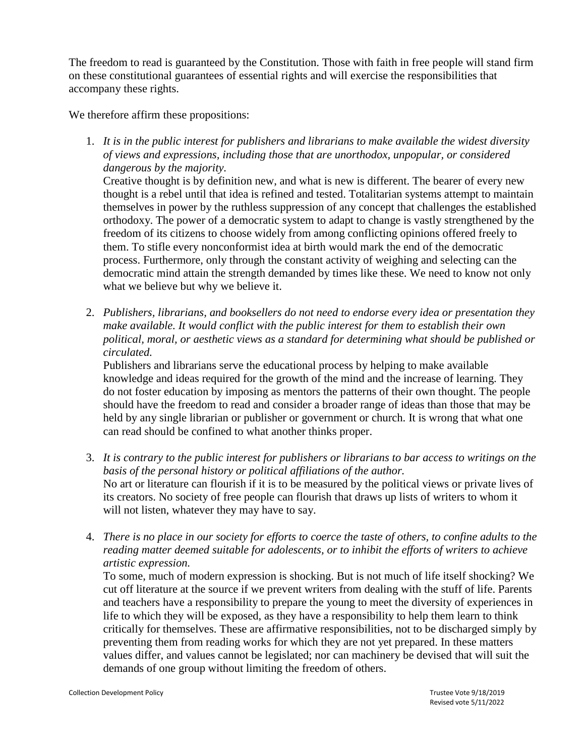The freedom to read is guaranteed by the Constitution. Those with faith in free people will stand firm on these constitutional guarantees of essential rights and will exercise the responsibilities that accompany these rights.

We therefore affirm these propositions:

1. *It is in the public interest for publishers and librarians to make available the widest diversity of views and expressions, including those that are unorthodox, unpopular, or considered dangerous by the majority.*

Creative thought is by definition new, and what is new is different. The bearer of every new thought is a rebel until that idea is refined and tested. Totalitarian systems attempt to maintain themselves in power by the ruthless suppression of any concept that challenges the established orthodoxy. The power of a democratic system to adapt to change is vastly strengthened by the freedom of its citizens to choose widely from among conflicting opinions offered freely to them. To stifle every nonconformist idea at birth would mark the end of the democratic process. Furthermore, only through the constant activity of weighing and selecting can the democratic mind attain the strength demanded by times like these. We need to know not only what we believe but why we believe it.

2. *Publishers, librarians, and booksellers do not need to endorse every idea or presentation they make available. It would conflict with the public interest for them to establish their own political, moral, or aesthetic views as a standard for determining what should be published or circulated.*

Publishers and librarians serve the educational process by helping to make available knowledge and ideas required for the growth of the mind and the increase of learning. They do not foster education by imposing as mentors the patterns of their own thought. The people should have the freedom to read and consider a broader range of ideas than those that may be held by any single librarian or publisher or government or church. It is wrong that what one can read should be confined to what another thinks proper.

- 3. It is contrary to the public interest for publishers or librarians to bar access to writings on the *basis of the personal history or political affiliations of the author.* No art or literature can flourish if it is to be measured by the political views or private lives of its creators. No society of free people can flourish that draws up lists of writers to whom it will not listen, whatever they may have to say.
- 4. There is no place in our society for efforts to coerce the taste of others, to confine adults to the *reading matter deemed suitable for adolescents, or to inhibit the efforts of writers to achieve artistic expression.*

To some, much of modern expression is shocking. But is not much of life itself shocking? We cut off literature at the source if we prevent writers from dealing with the stuff of life. Parents and teachers have a responsibility to prepare the young to meet the diversity of experiences in life to which they will be exposed, as they have a responsibility to help them learn to think critically for themselves. These are affirmative responsibilities, not to be discharged simply by preventing them from reading works for which they are not yet prepared. In these matters values differ, and values cannot be legislated; nor can machinery be devised that will suit the demands of one group without limiting the freedom of others.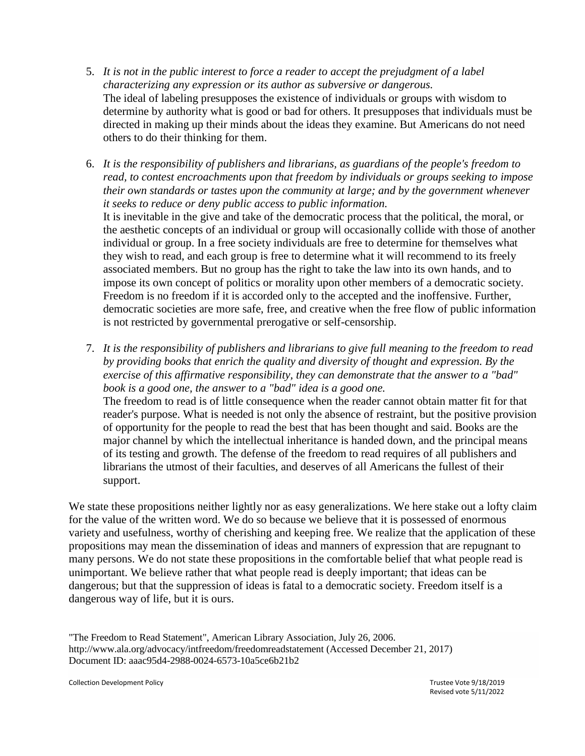- 5. *It is not in the public interest to force a reader to accept the prejudgment of a label characterizing any expression or its author as subversive or dangerous.* The ideal of labeling presupposes the existence of individuals or groups with wisdom to determine by authority what is good or bad for others. It presupposes that individuals must be directed in making up their minds about the ideas they examine. But Americans do not need others to do their thinking for them.
- 6. *It is the responsibility of publishers and librarians, as guardians of the people's freedom to read, to contest encroachments upon that freedom by individuals or groups seeking to impose their own standards or tastes upon the community at large; and by the government whenever it seeks to reduce or deny public access to public information.*

It is inevitable in the give and take of the democratic process that the political, the moral, or the aesthetic concepts of an individual or group will occasionally collide with those of another individual or group. In a free society individuals are free to determine for themselves what they wish to read, and each group is free to determine what it will recommend to its freely associated members. But no group has the right to take the law into its own hands, and to impose its own concept of politics or morality upon other members of a democratic society. Freedom is no freedom if it is accorded only to the accepted and the inoffensive. Further, democratic societies are more safe, free, and creative when the free flow of public information is not restricted by governmental prerogative or self-censorship.

7. *It is the responsibility of publishers and librarians to give full meaning to the freedom to read by providing books that enrich the quality and diversity of thought and expression. By the exercise of this affirmative responsibility, they can demonstrate that the answer to a "bad" book is a good one, the answer to a "bad" idea is a good one.*

The freedom to read is of little consequence when the reader cannot obtain matter fit for that reader's purpose. What is needed is not only the absence of restraint, but the positive provision of opportunity for the people to read the best that has been thought and said. Books are the major channel by which the intellectual inheritance is handed down, and the principal means of its testing and growth. The defense of the freedom to read requires of all publishers and librarians the utmost of their faculties, and deserves of all Americans the fullest of their support.

We state these propositions neither lightly nor as easy generalizations. We here stake out a lofty claim for the value of the written word. We do so because we believe that it is possessed of enormous variety and usefulness, worthy of cherishing and keeping free. We realize that the application of these propositions may mean the dissemination of ideas and manners of expression that are repugnant to many persons. We do not state these propositions in the comfortable belief that what people read is unimportant. We believe rather that what people read is deeply important; that ideas can be dangerous; but that the suppression of ideas is fatal to a democratic society. Freedom itself is a dangerous way of life, but it is ours.

"The Freedom to Read Statement", American Library Association, July 26, 2006. http://www.ala.org/advocacy/intfreedom/freedomreadstatement (Accessed December 21, 2017) Document ID: aaac95d4-2988-0024-6573-10a5ce6b21b2

Collection Development Policy Trustee Vote 9/18/2019

Revised vote 5/11/2022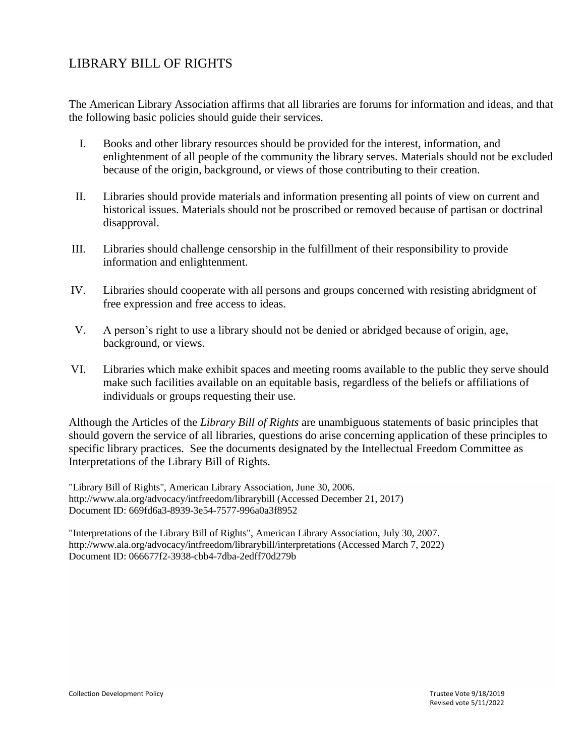# LIBRARY BILL OF RIGHTS

The American Library Association affirms that all libraries are forums for information and ideas, and that the following basic policies should guide their services.

- I. Books and other library resources should be provided for the interest, information, and enlightenment of all people of the community the library serves. Materials should not be excluded because of the origin, background, or views of those contributing to their creation.
- II. Libraries should provide materials and information presenting all points of view on current and historical issues. Materials should not be proscribed or removed because of partisan or doctrinal disapproval.
- III. Libraries should challenge censorship in the fulfillment of their responsibility to provide information and enlightenment.
- IV. Libraries should cooperate with all persons and groups concerned with resisting abridgment of free expression and free access to ideas.
- V. A person's right to use a library should not be denied or abridged because of origin, age, background, or views.
- VI. Libraries which make exhibit spaces and meeting rooms available to the public they serve should make such facilities available on an equitable basis, regardless of the beliefs or affiliations of individuals or groups requesting their use.

Although the Articles of the *Library Bill of Rights* are unambiguous statements of basic principles that should govern the service of all libraries, questions do arise concerning application of these principles to specific library practices. See the documents designated by the Intellectual Freedom Committee as Interpretations of the Library Bill of Rights.

"Library Bill of Rights", American Library Association, June 30, 2006. http://www.ala.org/advocacy/intfreedom/librarybill (Accessed December 21, 2017) Document ID: 669fd6a3-8939-3e54-7577-996a0a3f8952

"Interpretations of the Library Bill of Rights", American Library Association, July 30, 2007. http://www.ala.org/advocacy/intfreedom/librarybill/interpretations (Accessed March 7, 2022) Document ID: 066677f2-3938-cbb4-7dba-2edff70d279b